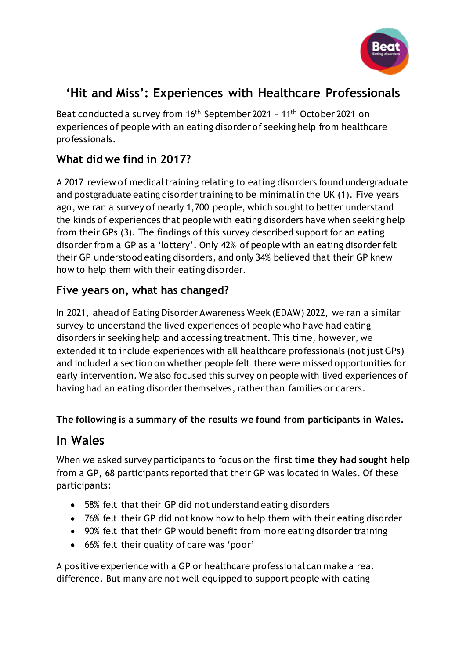

# **'Hit and Miss': Experiences with Healthcare Professionals**

Beat conducted a survey from 16<sup>th</sup> September 2021 - 11<sup>th</sup> October 2021 on experiences of people with an eating disorder of seeking help from healthcare professionals.

## **What did we find in 2017?**

A 2017 review of medical training relating to eating disorders found undergraduate and postgraduate eating disorder training to be minimal in the UK (1). Five years ago, we ran a survey of nearly 1,700 people, which sought to better understand the kinds of experiences that people with eating disorders have when seeking help from their GPs (3). The findings of this survey described support for an eating disorder from a GP as a 'lottery'. Only 42% of people with an eating disorder felt their GP understood eating disorders, and only 34% believed that their GP knew how to help them with their eating disorder.

### **Five years on, what has changed?**

In 2021, ahead of Eating Disorder Awareness Week (EDAW) 2022, we ran a similar survey to understand the lived experiences of people who have had eating disorders in seeking help and accessing treatment. This time, however, we extended it to include experiences with all healthcare professionals (not just GPs) and included a section on whether people felt there were missed opportunities for early intervention. We also focused this survey on people with lived experiences of having had an eating disorder themselves, rather than families or carers.

#### **The following is a summary of the results we found from participants in Wales.**

## **In Wales**

When we asked survey participants to focus on the **first time they had sought help** from a GP, 68 participants reported that their GP was located in Wales. Of these participants:

- 58% felt that their GP did not understand eating disorders
- 76% felt their GP did not know how to help them with their eating disorder
- 90% felt that their GP would benefit from more eating disorder training
- 66% felt their quality of care was 'poor'

A positive experience with a GP or healthcare professional can make a real difference. But many are not well equipped to support people with eating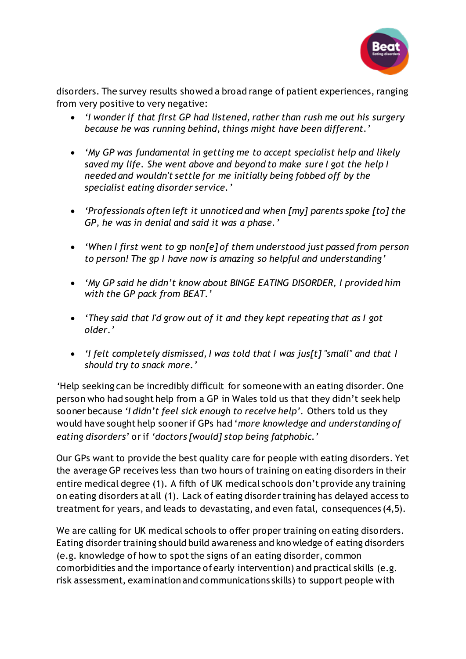

disorders. The survey results showed a broad range of patient experiences, ranging from very positive to very negative:

- *'I wonder if that first GP had listened, rather than rush me out his surgery because he was running behind, things might have been different.'*
- *'My GP was fundamental in getting me to accept specialist help and likely saved my life. She went above and beyond to make sure I got the help I needed and wouldn't settle for me initially being fobbed off by the specialist eating disorder service.'*
- *'Professionals often left it unnoticed and when [my] parents spoke [to] the GP, he was in denial and said it was a phase.'*
- *'When I first went to gp non[e] of them understood just passed from person to person! The gp I have now is amazing so helpful and understanding'*
- *'My GP said he didn't know about BINGE EATING DISORDER, I provided him with the GP pack from BEAT.'*
- *'They said that I'd grow out of it and they kept repeating that as I got older.'*
- *'I felt completely dismissed, I was told that I was jus[t] "small" and that I should try to snack more.'*

*'*Help seeking can be incredibly difficult for someone with an eating disorder. One person who had sought help from a GP in Wales told us that they didn't seek help sooner because *'I didn't feel sick enough to receive help'.* Others told us they would have sought help sooner if GPs had '*more knowledge and understanding of eating disorders*' or if *'doctors [would] stop being fatphobic.'* 

Our GPs want to provide the best quality care for people with eating disorders. Yet the average GP receives less than two hours of training on eating disorders in their entire medical degree (1). A fifth of UK medical schools don't provide any training on eating disorders at all (1). Lack of eating disorder training has delayed access to treatment for years, and leads to devastating, and even fatal, consequences (4,5).

We are calling for UK medical schools to offer proper training on eating disorders. Eating disorder training should build awareness and kno wledge of eating disorders (e.g. knowledge of how to spot the signs of an eating disorder, common comorbidities and the importance of early intervention) and practical skills (e.g. risk assessment, examination and communications skills) to support people with